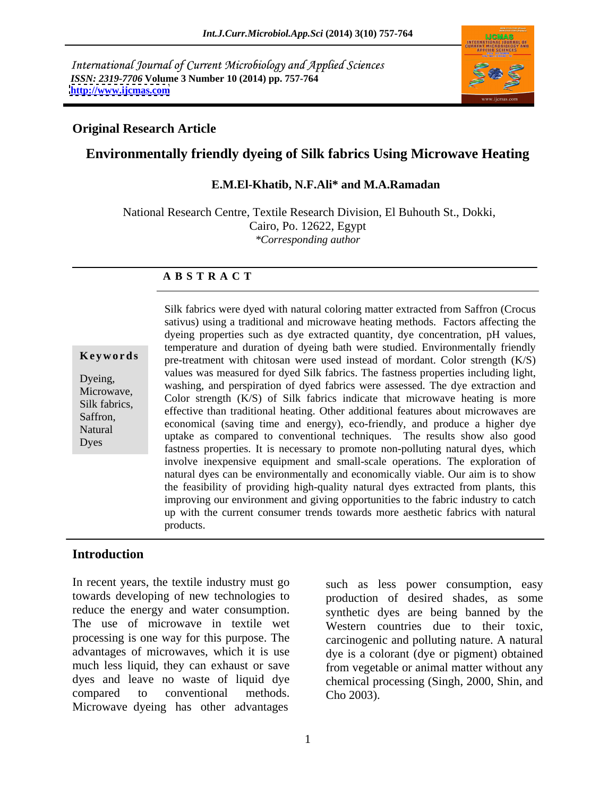International Journal of Current Microbiology and Applied Sciences *ISSN: 2319-7706* **Volume 3 Number 10 (2014) pp. 757-764 <http://www.ijcmas.com>**



### **Original Research Article**

# **Environmentally friendly dyeing of Silk fabrics Using Microwave Heating**

### **E.M.El-Khatib, N.F.Ali\* and M.A.Ramadan**

National Research Centre, Textile Research Division, El Buhouth St., Dokki, Cairo, Po. 12622, Egypt *\*Corresponding author*

### **A B S T R A C T**

**Keywords** pre-treatment with chitosan were used instead of mordant. Color strength (K/S) Dyeing,<br>
washing, and perspiration of dyed fabrics were assessed. The dye extraction and<br>
Microsomovic Microwave,<br>
Color strength (K/S) of Silk fabrics indicate that microwave heating is more Silk fabrics,<br>
effective than traditional heating. Other additional features about microwaves are<br>
Seffron Saffron,<br>
economical (saving time and energy), eco-friendly, and produce a higher dye Natural uptake as compared to conventional techniques. The results show also good Dyes<br>fastness properties. It is necessary to promote non-polluting natural dyes, which Silk fabrics were dyed with natural coloring matter extracted from Saffron (Crocus sativus) using a traditional and microwave heating methods. Factors affecting the dyeing properties such as dye extracted quantity, dye concentration, pH values, temperature and duration of dyeing bath were studied. Environmentally friendly values was measured for dyed Silk fabrics. The fastness properties including light, involve inexpensive equipment and small-scale operations. The exploration of natural dyes can be environmentally and economically viable. Our aim is to show the feasibility of providing high-quality natural dyes extracted from plants, this improving our environment and giving opportunities to the fabric industry to catch up with the current consumer trends towards more aesthetic fabrics with natural products.

# **Introduction**

In recent years, the textile industry must go towards developing of new technologies to production of desired shades, as some reduce the energy and water consumption. Synthetic dyes are being banned by the The use of microwave in textile wet Western countries due to their toxic, processing is one way for this purpose. The carcinogenic and polluting nature. A natural advantages of microwaves, which it is use dye is a colorant (dye or pigment) obtained much less liquid, they can exhaust or save from vegetable or animal matter without any dyes and leave no waste of liquid dye chemical processing (Singh, 2000, Shin, and compared to conventional methods. Cho 2003). Microwave dyeing has other advantages

such as less power consumption, easy Cho 2003).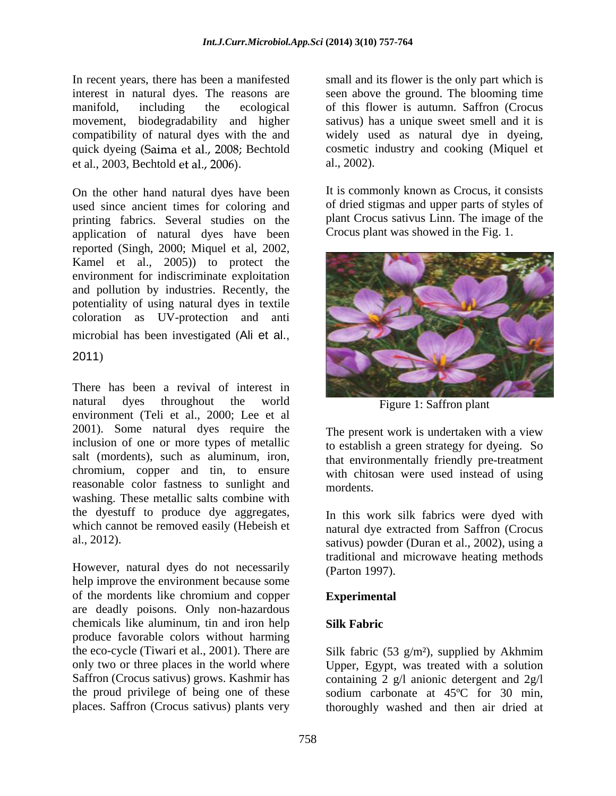In recent years, there has been a manifested small and its flower is the only part which is interest in natural dyes. The reasons are seen above the ground. The blooming time manifold, including the ecological of this flower is autumn. Saffron (Crocus movement, biodegradability and higher compatibility of natural dyes with the and widely used as natural dye in dyeing, quick dyeing (Saima et al., 2008; Bechtold et al., 2003, Bechtold et al., 2006). al., 2002).

used since ancient times for coloring and printing fabrics. Several studies on the application of natural dyes have been reported (Singh, 2000; Miquel et al, 2002, Kamel et al., 2005)) to protect the environment for indiscriminate exploitation and pollution by industries. Recently, the potentiality of using natural dyes in textile coloration as UV-protection and anti microbial has been investigated (Ali et al.,

There has been a revival of interest in natural dyes throughout the world Figure 1: Saffron plant environment (Teli et al., 2000; Lee et al 2001). Some natural dyes require the inclusion of one or more types of metallic salt (mordents), such as aluminum, iron, that environmentally friendly pre-treatment chromium, copper and tin, to ensure reasonable color fastness to sunlight and mordents. washing. These metallic salts combine with the dyestuff to produce dye aggregates, which cannot be removed easily (Hebeish et

However, natural dyes do not necessarily help improve the environment because some of the mordents like chromium and copper are deadly poisons. Only non-hazardous chemicals like aluminum, tin and iron help produce favorable colors without harming

sativus) has a unique sweet smell and it is cosmetic industry and cooking (Miquel et al., 2002).

On the other hand natural dyes have been It is commonly known as Crocus, it consists It is commonly known as Crocus, it consists of dried stigmas and upper parts of styles of plant Crocus sativus Linn. The image of the Crocus plant was showed in the Fig. 1.



Figure 1: Saffron plant

The present work is undertaken with a view to establish a green strategy for dyeing. So with chitosan were used instead of using mordents.

al., 2012). sativus) powder (Duran et al., 2002), using a In this work silk fabrics were dyed with natural dye extracted from Saffron (Crocus traditional and microwave heating methods (Parton 1997).

# **Experimental**

# **Silk Fabric**

the eco-cycle (Tiwari et al., 2001). There are Silk fabric (53 g/m²), supplied by Akhmim only two or three places in the world where Upper, Egypt, was treated with a solution Saffron (Crocus sativus) grows. Kashmir has containing 2 g/l anionic detergent and 2g/l the proud privilege of being one of these sodium carbonate at 45ºC for 30 min, places. Saffron (Crocus sativus) plants very thoroughly washed and then air dried at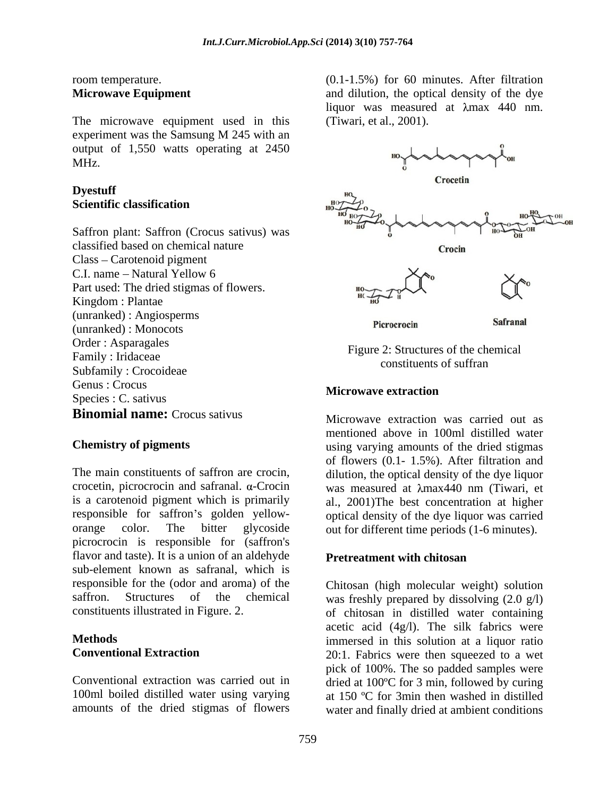The microwave equipment used in this experiment was the Samsung M 245 with an output of 1,550 watts operating at 2450

Saffron plant: Saffron (Crocus sativus) was classified based on chemical nature Class – Carotenoid pigment Part used: The dried stigmas of flowers. (unranked) : Angiosperms (unranked) : Monocots Order : Asparagales Eigune 2: Structures of the shamical Family : Iridaceae and the second service of the conditions of the conditions of  $\alpha$ . Subfamily : Crocoideae expansion of the construction of sufficient of the subset of subset of  $\sim$ Genus : Crocus Species : C. sativus<br>Species : C. sativus **Binomial name:** Crocus sativus

orange color. The bitter glycoside out for different time periods (1-6 minutes). picrocrocin is responsible for (saffron's flavor and taste). It is a union of an aldehyde **Pretreatment with chitosan** sub-element known as safranal, which is responsible for the (odor and aroma) of the Chitosan (high molecular weight) solution

room temperature. (0.1-1.5%) for 60 minutes. After filtration **Microwave Equipment** and dilution, the optical density of the dye liquor was measured at  $\lambda$ max 440 nm. (Tiwari, et al., 2001).



Figure 2: Structures of the chemical constituents of suffran

# **Microwave extraction**

**Chemistry of pigments using varying amounts of the dried stigmas** The main constituents of saffron are crocin, dilution, the optical density of the dye liquor crocetin, picrocrocin and safranal.  $\alpha$ -Crocin was measured at  $\lambda$ max440 nm (Tiwari, et is a carotenoid pigment which is primarily al., 2001)The best concentration at higher responsible for saffron's golden yellow- optical density of the dye liquor was carried Microwave extraction was carried out as mentioned above in 100ml distilled water of flowers (0.1- 1.5%). After filtration and

# **Pretreatment with chitosan**

saffron. Structures of the chemical was freshly prepared by dissolving (2.0 g/l) constituents illustrated in Figure. 2. of chitosan in distilled water containing **Methods** immersed in this solution at a liquor ratio **Conventional Extraction** 20:1. Fabrics were then squeezed to a wet Conventional extraction was carried out in dried at 100°C for 3 min, followed by curing 100ml boiled distilled water using varying at 150 ºC for 3min then washed in distilled amounts of the dried stigmas of flowers water and finally dried at ambient conditions acetic acid  $(4g/l)$ . The silk fabrics were pick of 100%. The so padded samples were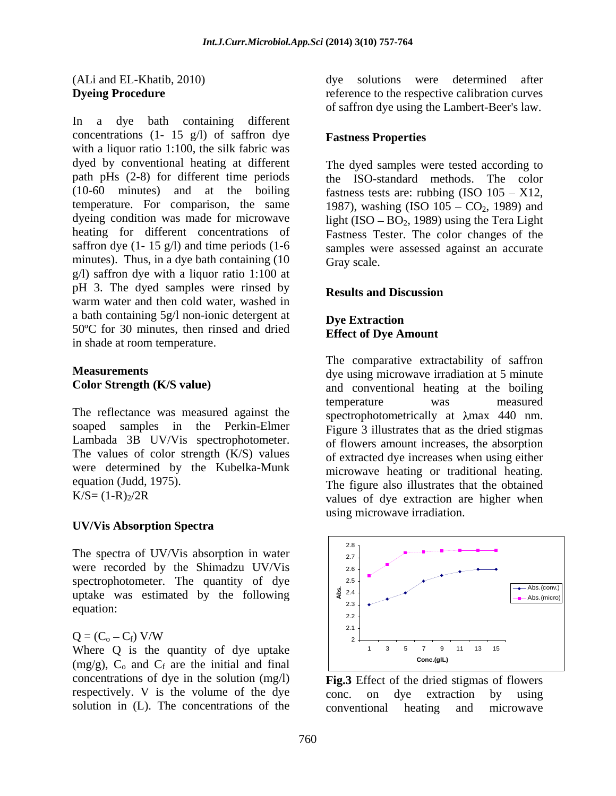In a dye bath containing different concentrations  $(1 - 15 \text{ g/l})$  of saffron dye<br>**Fastness Properties** with a liquor ratio 1:100, the silk fabric was dyed by conventional heating at different The dyed samples were tested according to minutes). Thus, in a dye bath containing (10 Gray scale. g/l) saffron dye with a liquor ratio 1:100 at pH 3. The dyed samples were rinsed by **Results and Discussion** warm water and then cold water, washed in a bath containing 5g/l non-ionic detergent at Dye Extraction 50ºC for 30 minutes, then rinsed and dried in shade at room temperature.

The reflectance was measured against the soaped samples in the Perkin-Elmer Figure 3 illustrates that as the dried stigmas Lambada 3B UV/Vis spectrophotometer. The values of color strength (K/S) values were determined by the Kubelka-Munk equation (Judd, 1975). The figure also illustrates that the obtained

### **UV/Vis Absorption Spectra**

The spectra of UV/Vis absorption in water  $\begin{vmatrix} 1 & 1 \\ 2 & 2 \end{vmatrix}$ were recorded by the Shimadzu UV/Vis 2.6

### $Q = (C_0 - C_f)$  V/W

Where Q is the quantity of dye uptake  $(\text{mod } n)$   $\bigcap_{\text{cone(gll)}}$   $\bigcap_{\text{cone(gll)}}$   $\bigcap_{\text{cone(gll)}}$  $(mg/g)$ ,  $C_0$  and  $C_f$  are the initial and final concentrations of dye in the solution (mg/l) respectively. V is the volume of the dye conc. on dye extraction by using

(ALi and EL-Khatib, 2010) **Dyeing Procedure reference** to the respective calibration curves dye solutions were determined after of saffron dye using the Lambert-Beer's law.

## **Fastness Properties**

path pHs (2-8) for different time periods the ISO-standard methods. The color  $(10-60 \text{ minutes})$  and at the boiling fastness tests are: rubbing  $(ISO\ 105 - X12)$ , temperature. For comparison, the same  $1987$ , washing (ISO  $105 - CO_2$ , 1989) and dyeing condition was made for microwave  $\qquad \qquad$  light (ISO – BO<sub>2</sub>, 1989) using the Tera Light heating for different concentrations of Fastness Tester. The color changes of the saffron dye (1- 15 g/l) and time periods (1-6 samples were assessed against an accurate Gray scale.

### **Results and Discussion**

### **Dye Extraction Effect of Dye Amount**

**Measurements** dye using microwave irradiation at 5 minute **Color Strength (K/S value)** and conventional heating at the boiling  $K/S = (1-R)<sub>2</sub>/2R$  values of dye extraction are higher when The comparative extractability of saffron temperature was measured spectrophotometrically at  $\lambda$ max 440 nm. of flowers amount increases, the absorption of extracted dye increases when using either microwave heating or traditional heating. using microwave irradiation.



solution in (L). The concentrations of the conventional heating and microwave **Fig.3** Effect of the dried stigmas of flowers conc. on dye extraction by using conventional heating and microwave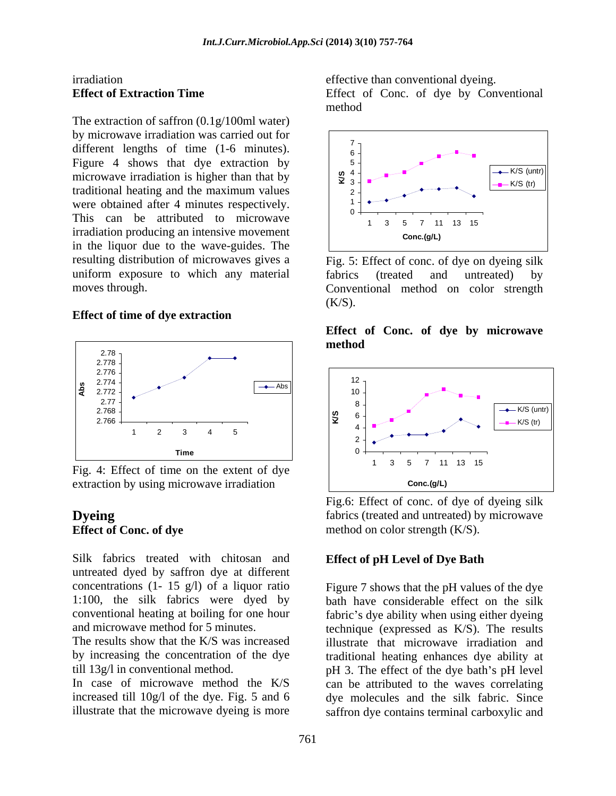The extraction of saffron (0.1g/100ml water) by microwave irradiation was carried out for  $\sqrt{\frac{7}{10}}$ different lengths of time (1-6 minutes).  $\begin{bmatrix} 1 & 1 \\ 0 & 1 \end{bmatrix}$ microwave irradiation is higher than that by  $\left|\begin{array}{c} \infty & 4 \\ \infty & 3 \end{array}\right|$ traditional heating and the maximum values<br>were obtained ofter 4 minutes recreatively. were obtained after 4 minutes respectively.  $\begin{bmatrix} 1 \\ 0 \end{bmatrix}$ This can be attributed to microwave  $\begin{array}{c|c} \begin{array}{c} \circ \\ \circ \\ \end{array} \begin{array}{c} \circ \\ \circ \\ \end{array} \begin{array}{c} \circ \\ \circ \\ \end{array} \begin{array}{c} \circ \\ \circ \\ \end{array} \begin{array}{c} \circ \\ \circ \\ \end{array} \begin{array}{c} \circ \\ \circ \\ \end{array} \begin{array}{c} \circ \\ \circ \\ \end{array} \begin{array}{c} \circ \\ \circ \\ \end{array} \begin{array}{c} \circ \\ \circ \\ \end{array} \begin{array}{c} \circ \\ \circ \\$ irradiation producing an intensive movement conc.(g/L) in the liquor due to the wave-guides. The resulting distribution of microwaves gives a Fig. 5: Effect of conc. of dye on dyeing silk uniform exposure to which any material fabrics (treated and untreated) by

### **Effect of time of dye extraction**



extraction by using microwave irradiation  $\vert$  conc.(g/L)

Silk fabrics treated with chitosan and untreated dyed by saffron dye at different concentrations (1- 15 g/l) of a liquor ratio

illustrate that the microwave dyeing is more

irradiation effective than conventional dyeing. **Effect of Extraction Time** Effect of Conc. of dye by Conventional method



moves through. Conventional method on color strength fabrics (treated and untreated) by  $(K/S)$ .

### **Effect of Conc. of dye by microwave method**



**Dyeing** fabrics (treated and untreated) by microwave **Effect of Conc. of dye** method on color strength (K/S). Fig.6: Effect of conc. of dye of dyeing silk

# **Effect of pH Level of Dye Bath**

1:100, the silk fabrics were dyed by bath have considerable effect on the silk conventional heating at boiling for one hour fabric's dye ability when using either dyeing and microwave method for 5 minutes. technique (expressed as K/S). The results The results show that the K/S was increased illustrate that microwave irradiation and by increasing the concentration of the dye traditional heating enhances dye ability at till 13g/l in conventional method.  $pH$  3. The effect of the dye bath's pH level In case of microwave method the K/S can be attributed to the waves correlating increased till 10g/l of the dye. Fig. 5 and 6 dye molecules and the silk fabric. Since Figure 7 shows that the pH values of the dye saffron dye contains terminal carboxylic and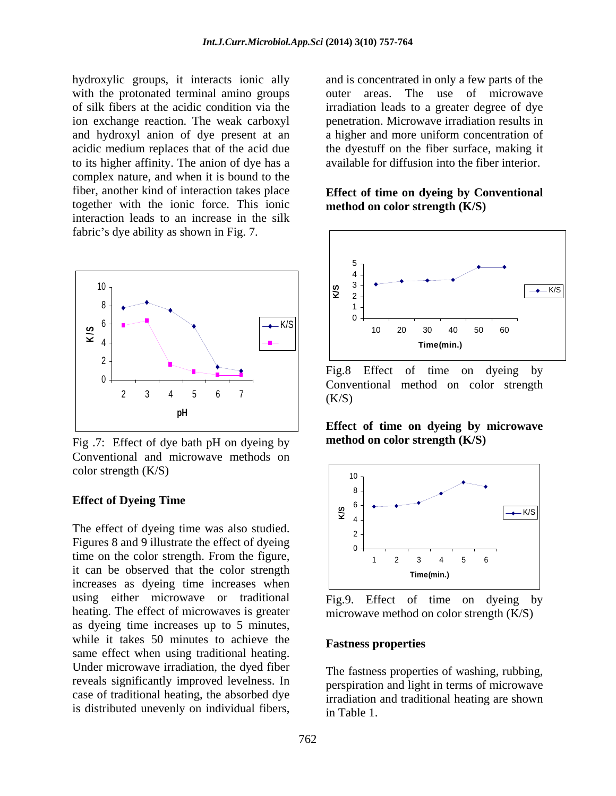hydroxylic groups, it interacts ionic ally with the protonated terminal amino groups outer areas. The use of microwave of silk fibers at the acidic condition via the irradiation leads to a greater degree of dye ion exchange reaction. The weak carboxyl penetration. Microwave irradiation results in and hydroxyl anion of dye present at an acidic medium replaces that of the acid due the dyestuff on the fiber surface, making it to its higher affinity. The anion of dye has a complex nature, and when it is bound to the fiber, another kind of interaction takes place together with the ionic force. This ionic interaction leads to an increase in the silk fabric's dye ability as shown in Fig. 7.



Fig .7: Effect of dye bath pH on dyeing by Conventional and microwave methods on color strength  $(K/S)$  10

The effect of dyeing time was also studied. Figures 8 and 9 illustrate the effect of dyeing  $\begin{bmatrix} 2 \\ 0 \end{bmatrix}$ time on the color strength. From the figure,  $\begin{array}{ccc} \hline \end{array}$   $\begin{array}{ccc} 1 & 2 & 3 & 4 & 5 & 6 \end{array}$ it can be observed that the color strength Time(min.) increases as dyeing time increases when using either microwave or traditional Fig.9. Effect of time on dyeing by heating. The effect of microwaves is greater microwave method on color strength (K/S) as dyeing time increases up to 5 minutes, while it takes 50 minutes to achieve the **Fastness properties** same effect when using traditional heating. Under microwave irradiation, the dyed fiber reveals significantly improved levelness. In case of traditional heating, the absorbed dye is distributed unevenly on individual fibers,

and is concentrated in only a few parts of the a higher and more uniform concentration of available for diffusion into the fiber interior.

### **Effect of time on dyeing by Conventional method on color strength (K/S)**



 $0 +$  Conventional method on color strength 2 3 4 5 6 7  $(K/S)$ Fig.8 Effect of time on dyeing by  $(K/S)$ 

**Effect of time on dyeing by microwave method on color strength (K/S)**



Fig.9. Effect of time on

### **Fastness properties**

The fastness properties of washing, rubbing, perspiration and light in terms of microwave irradiation and traditional heating are shown in Table 1.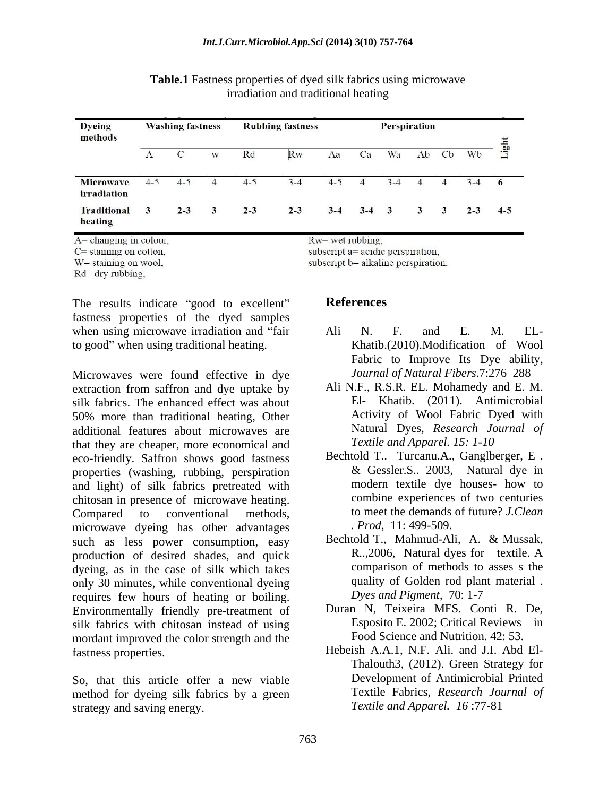| <b>Dyeing</b><br>methods               | <b>Washing fastness</b> |             |   | <b>Rubbing fastness</b> |         |         | Perspiration   |                         |                |                |         |       |
|----------------------------------------|-------------------------|-------------|---|-------------------------|---------|---------|----------------|-------------------------|----------------|----------------|---------|-------|
|                                        | $\mathbf{A}$            | $\mathbf C$ | W | Rd                      | Rw      | Aa      | Ca             | Wa                      | Ab             | <b>C</b> b     | Wb      | Light |
| <b>Microwave</b><br><i>irradiation</i> | $4 - 5$                 | $4 - 5$     | 4 | $4 - 5$                 | $3 - 4$ | $4 - 5$ | $\overline{4}$ | $3 - 4$                 | $\overline{4}$ | $\overline{4}$ | $3 - 4$ | 6     |
| <b>Traditional</b><br>heating          | 3                       | $2 - 3$     | 3 | $2 - 3$                 | $2 - 3$ | $3 - 4$ | $3 - 4$        | $\overline{\mathbf{3}}$ | 3              | 3              | $2 - 3$ | $4-5$ |

**Table.1** Fastness properties of dyed silk fabrics using microwave irradiation and traditional heating

 $A = changing$  in colour,

 $C$  = staining on cotton,

 $W =$  staining on wool.

 $Rd =$  dry rubbing,

The results indicate "good to excellent" References fastness properties of the dyed samples when using microwave irradiation and "fair and N. F. and E. M. ELto good" when using traditional heating.

Microwaves were found effective in dye extraction from saffron and dye uptake by silk fabrics. The enhanced effect was about 50% more than traditional heating, Other additional features about microwaves are that they are cheaper, more economical and eco-friendly. Saffron shows good fastness properties (washing, rubbing, perspiration  $\&$  Gessler.S. 2003, Natural dye in and light) of silk fabrics pretreated with modern textile dye houses- how to and light) of silk fabrics pretreated with chitosan in presence of microwave heating. Compared to conventional methods, to meet the demands of future? *J. Clean* microwave dyeing has other advantages such as less power consumption, easy Bechtold T., Mahmud-Ali, A. & Mussak, production of desired shades and quick R., 2006, Natural dyes for textile. A production of desired shades, and quick dyeing, as in the case of silk which takes only 30 minutes, while conventional dyeing requires few hours of heating or boiling. Environmentally friendly pre-treatment of silk fabrics with chitosan instead of using mordant improved the color strength and the fastness properties. Hebeish A.A.1, N.F. Ali. and J.I. Abd El-

So, that this article offer a new viable method for dyeing silk fabrics by a green strategy and saving energy.

Rw= wet rubbing.

subscript a= acidic perspiration,

subscript b= alkaline perspiration.

# **References**

- Ali N. F. and E. M. EL- Khatib.(2010).Modification of Wool Fabric to Improve Its Dye ability, Journal of Natural Fibers.7:276-288
- Ali N.F., R.S.R. EL. Mohamedy and E. M. El- Khatib. (2011). Antimicrobial Activity of Wool Fabric Dyed with Natural Dyes, *Research Journal of Textile and Apparel. 15: 1-10*
- Bechtold T.. Turcanu.A., Ganglberger, E . & Gessler.S.. 2003, Natural dye in modern textile dye houses- how to combine experiences of two centuries *. Prod*, 11: 499-509.
- Bechtold T., Mahmud-Ali, A. & Mussak, R..,2006, Natural dyes for textile. A comparison of methods to asses s the quality of Golden rod plant material . *Dyes and Pigment*, 70: 1-7
- Duran N, Teixeira MFS. Conti R. De, Esposito E. 2002; Critical Reviews in Food Science and Nutrition. 42: 53.
- Thalouth3, (2012). Green Strategy for Development of Antimicrobial Printed Textile Fabrics, *Research Journal of Textile and Apparel. 16* :77-81